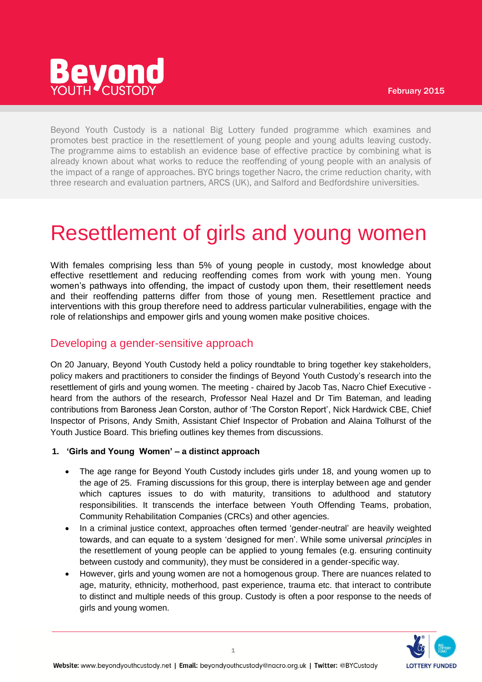

Beyond Youth Custody is a national Big Lottery funded programme which examines and promotes best practice in the resettlement of young people and young adults leaving custody. The programme aims to establish an evidence base of effective practice by combining what is already known about what works to reduce the reoffending of young people with an analysis of the impact of a range of approaches. BYC brings together Nacro, the crime reduction charity, with three research and evaluation partners, ARCS (UK), and Salford and Bedfordshire universities.

# Resettlement of girls and young women

With females comprising less than 5% of young people in custody, most knowledge about effective resettlement and reducing reoffending comes from work with young men. Young women's pathways into offending, the impact of custody upon them, their resettlement needs and their reoffending patterns differ from those of young men. Resettlement practice and interventions with this group therefore need to address particular vulnerabilities, engage with the role of relationships and empower girls and young women make positive choices.

# Developing a gender-sensitive approach

On 20 January, Beyond Youth Custody held a policy roundtable to bring together key stakeholders, policy makers and practitioners to consider the findings of Beyond Youth Custody's research into the resettlement of girls and young women. The meeting - chaired by Jacob Tas, Nacro Chief Executive heard from the authors of the research, Professor Neal Hazel and Dr Tim Bateman, and leading contributions from Baroness Jean Corston, author of 'The Corston Report', Nick Hardwick CBE, Chief Inspector of Prisons, Andy Smith, Assistant Chief Inspector of Probation and Alaina Tolhurst of the Youth Justice Board. This briefing outlines key themes from discussions.

## **1. 'Girls and Young Women' – a distinct approach**

- The age range for Beyond Youth Custody includes girls under 18, and young women up to the age of 25. Framing discussions for this group, there is interplay between age and gender which captures issues to do with maturity, transitions to adulthood and statutory responsibilities. It transcends the interface between Youth Offending Teams, probation, Community Rehabilitation Companies (CRCs) and other agencies.
- In a criminal justice context, approaches often termed 'gender-neutral' are heavily weighted towards, and can equate to a system 'designed for men'. While some universal *principles* in the resettlement of young people can be applied to young females (e.g. ensuring continuity between custody and community), they must be considered in a gender-specific way.
- However, girls and young women are not a homogenous group. There are nuances related to age, maturity, ethnicity, motherhood, past experience, trauma etc. that interact to contribute to distinct and multiple needs of this group. Custody is often a poor response to the needs of girls and young women.

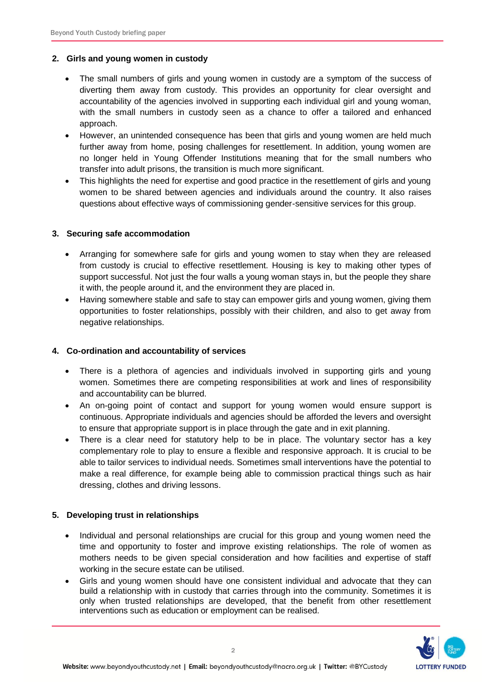#### **2. Girls and young women in custody**

- The small numbers of girls and young women in custody are a symptom of the success of diverting them away from custody. This provides an opportunity for clear oversight and accountability of the agencies involved in supporting each individual girl and young woman, with the small numbers in custody seen as a chance to offer a tailored and enhanced approach.
- However, an unintended consequence has been that girls and young women are held much further away from home, posing challenges for resettlement. In addition, young women are no longer held in Young Offender Institutions meaning that for the small numbers who transfer into adult prisons, the transition is much more significant.
- This highlights the need for expertise and good practice in the resettlement of girls and young women to be shared between agencies and individuals around the country. It also raises questions about effective ways of commissioning gender-sensitive services for this group.

## **3. Securing safe accommodation**

- Arranging for somewhere safe for girls and young women to stay when they are released from custody is crucial to effective resettlement. Housing is key to making other types of support successful. Not just the four walls a young woman stays in, but the people they share it with, the people around it, and the environment they are placed in.
- Having somewhere stable and safe to stay can empower girls and young women, giving them opportunities to foster relationships, possibly with their children, and also to get away from negative relationships.

## **4. Co-ordination and accountability of services**

- There is a plethora of agencies and individuals involved in supporting girls and young women. Sometimes there are competing responsibilities at work and lines of responsibility and accountability can be blurred.
- An on-going point of contact and support for young women would ensure support is continuous. Appropriate individuals and agencies should be afforded the levers and oversight to ensure that appropriate support is in place through the gate and in exit planning.
- There is a clear need for statutory help to be in place. The voluntary sector has a key complementary role to play to ensure a flexible and responsive approach. It is crucial to be able to tailor services to individual needs. Sometimes small interventions have the potential to make a real difference, for example being able to commission practical things such as hair dressing, clothes and driving lessons.

## **5. Developing trust in relationships**

- Individual and personal relationships are crucial for this group and young women need the time and opportunity to foster and improve existing relationships. The role of women as mothers needs to be given special consideration and how facilities and expertise of staff working in the secure estate can be utilised.
- Girls and young women should have one consistent individual and advocate that they can build a relationship with in custody that carries through into the community. Sometimes it is only when trusted relationships are developed, that the benefit from other resettlement interventions such as education or employment can be realised.